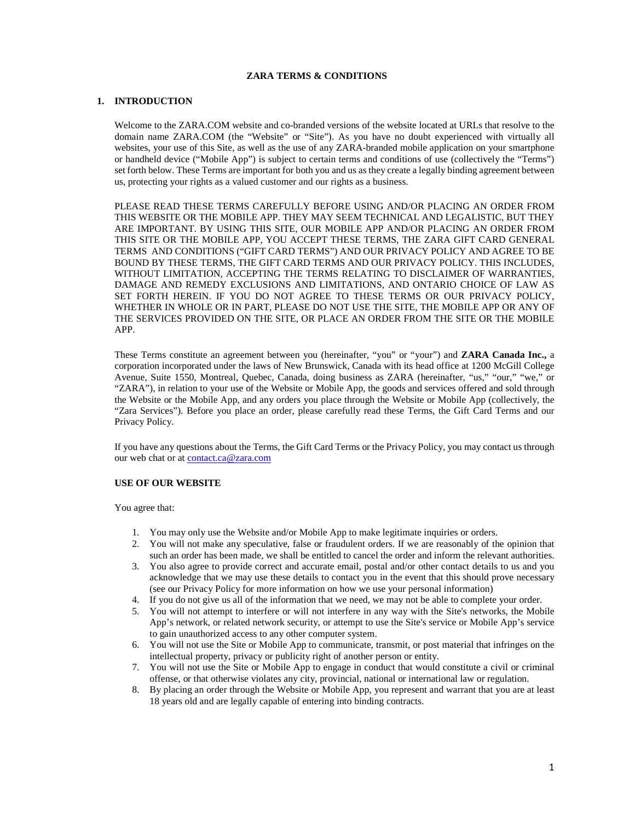## **ZARA TERMS & CONDITIONS**

#### **1. INTRODUCTION**

Welcome to the ZARA.COM website and co-branded versions of the website located at URLs that resolve to the domain name ZARA.COM (the "Website" or "Site"). As you have no doubt experienced with virtually all websites, your use of this Site, as well as the use of any ZARA-branded mobile application on your smartphone or handheld device ("Mobile App") is subject to certain terms and conditions of use (collectively the "Terms") set forth below. These Terms are important for both you and us as they create a legally binding agreement between us, protecting your rights as a valued customer and our rights as a business.

PLEASE READ THESE TERMS CAREFULLY BEFORE USING AND/OR PLACING AN ORDER FROM THIS WEBSITE OR THE MOBILE APP. THEY MAY SEEM TECHNICAL AND LEGALISTIC, BUT THEY ARE IMPORTANT. BY USING THIS SITE, OUR MOBILE APP AND/OR PLACING AN ORDER FROM THIS SITE OR THE MOBILE APP, YOU ACCEPT THESE TERMS, THE ZARA GIFT CARD GENERAL TERMS AND CONDITIONS ("GIFT CARD TERMS") AND OUR PRIVACY POLICY AND AGREE TO BE BOUND BY THESE TERMS, THE GIFT CARD TERMS AND OUR PRIVACY POLICY. THIS INCLUDES, WITHOUT LIMITATION, ACCEPTING THE TERMS RELATING TO DISCLAIMER OF WARRANTIES, DAMAGE AND REMEDY EXCLUSIONS AND LIMITATIONS, AND ONTARIO CHOICE OF LAW AS SET FORTH HEREIN. IF YOU DO NOT AGREE TO THESE TERMS OR OUR PRIVACY POLICY, WHETHER IN WHOLE OR IN PART, PLEASE DO NOT USE THE SITE, THE MOBILE APP OR ANY OF THE SERVICES PROVIDED ON THE SITE, OR PLACE AN ORDER FROM THE SITE OR THE MOBILE APP.

These Terms constitute an agreement between you (hereinafter, "you" or "your") and **ZARA Canada Inc.,** a corporation incorporated under the laws of New Brunswick, Canada with its head office at 1200 McGill College Avenue, Suite 1550, Montreal, Quebec, Canada, doing business as ZARA (hereinafter, "us," "our," "we," or "ZARA"), in relation to your use of the Website or Mobile App, the goods and services offered and sold through the Website or the Mobile App, and any orders you place through the Website or Mobile App (collectively, the "Zara Services"). Before you place an order, please carefully read these Terms, the Gift Card Terms and our Privacy Policy.

If you have any questions about the Terms, the Gift Card Terms or the Privacy Policy, you may contact us through our web chat or at **contact.ca@zara.com** 

## **USE OF OUR WEBSITE**

You agree that:

- 1. You may only use the Website and/or Mobile App to make legitimate inquiries or orders.
- 2. You will not make any speculative, false or fraudulent orders. If we are reasonably of the opinion that such an order has been made, we shall be entitled to cancel the order and inform the relevant authorities.
- 3. You also agree to provide correct and accurate email, postal and/or other contact details to us and you acknowledge that we may use these details to contact you in the event that this should prove necessary (see our Privacy Policy for more information on how we use your personal information)
- 4. If you do not give us all of the information that we need, we may not be able to complete your order.
- 5. You will not attempt to interfere or will not interfere in any way with the Site's networks, the Mobile App's network, or related network security, or attempt to use the Site's service or Mobile App's service to gain unauthorized access to any other computer system.
- 6. You will not use the Site or Mobile App to communicate, transmit, or post material that infringes on the intellectual property, privacy or publicity right of another person or entity.
- 7. You will not use the Site or Mobile App to engage in conduct that would constitute a civil or criminal offense, or that otherwise violates any city, provincial, national or international law or regulation.
- 8. By placing an order through the Website or Mobile App, you represent and warrant that you are at least 18 years old and are legally capable of entering into binding contracts.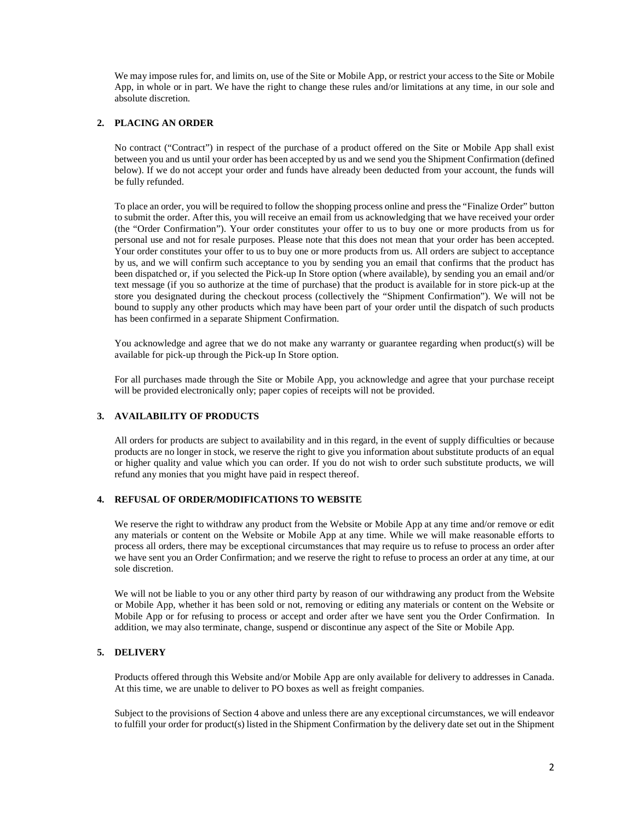We may impose rules for, and limits on, use of the Site or Mobile App, or restrict your access to the Site or Mobile App, in whole or in part. We have the right to change these rules and/or limitations at any time, in our sole and absolute discretion.

## **2. PLACING AN ORDER**

No contract ("Contract") in respect of the purchase of a product offered on the Site or Mobile App shall exist between you and us until your order has been accepted by us and we send you the Shipment Confirmation (defined below). If we do not accept your order and funds have already been deducted from your account, the funds will be fully refunded.

To place an order, you will be required to follow the shopping process online and press the "Finalize Order" button to submit the order. After this, you will receive an email from us acknowledging that we have received your order (the "Order Confirmation"). Your order constitutes your offer to us to buy one or more products from us for personal use and not for resale purposes. Please note that this does not mean that your order has been accepted. Your order constitutes your offer to us to buy one or more products from us. All orders are subject to acceptance by us, and we will confirm such acceptance to you by sending you an email that confirms that the product has been dispatched or, if you selected the Pick-up In Store option (where available), by sending you an email and/or text message (if you so authorize at the time of purchase) that the product is available for in store pick-up at the store you designated during the checkout process (collectively the "Shipment Confirmation"). We will not be bound to supply any other products which may have been part of your order until the dispatch of such products has been confirmed in a separate Shipment Confirmation.

You acknowledge and agree that we do not make any warranty or guarantee regarding when product(s) will be available for pick-up through the Pick-up In Store option.

For all purchases made through the Site or Mobile App, you acknowledge and agree that your purchase receipt will be provided electronically only; paper copies of receipts will not be provided.

## **3. AVAILABILITY OF PRODUCTS**

All orders for products are subject to availability and in this regard, in the event of supply difficulties or because products are no longer in stock, we reserve the right to give you information about substitute products of an equal or higher quality and value which you can order. If you do not wish to order such substitute products, we will refund any monies that you might have paid in respect thereof.

## **4. REFUSAL OF ORDER/MODIFICATIONS TO WEBSITE**

We reserve the right to withdraw any product from the Website or Mobile App at any time and/or remove or edit any materials or content on the Website or Mobile App at any time. While we will make reasonable efforts to process all orders, there may be exceptional circumstances that may require us to refuse to process an order after we have sent you an Order Confirmation; and we reserve the right to refuse to process an order at any time, at our sole discretion.

We will not be liable to you or any other third party by reason of our withdrawing any product from the Website or Mobile App, whether it has been sold or not, removing or editing any materials or content on the Website or Mobile App or for refusing to process or accept and order after we have sent you the Order Confirmation. In addition, we may also terminate, change, suspend or discontinue any aspect of the Site or Mobile App.

## **5. DELIVERY**

Products offered through this Website and/or Mobile App are only available for delivery to addresses in Canada. At this time, we are unable to deliver to PO boxes as well as freight companies.

Subject to the provisions of Section 4 above and unless there are any exceptional circumstances, we will endeavor to fulfill your order for product(s) listed in the Shipment Confirmation by the delivery date set out in the Shipment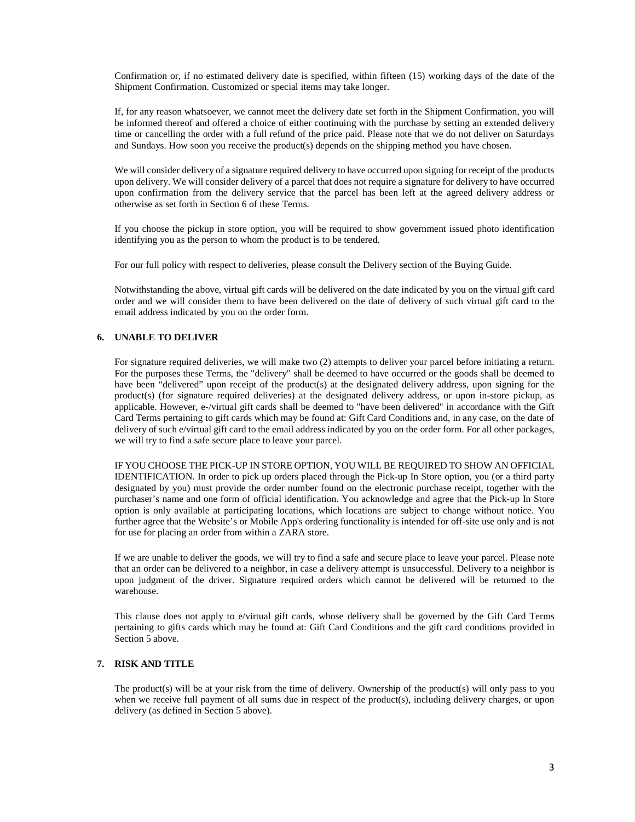Confirmation or, if no estimated delivery date is specified, within fifteen (15) working days of the date of the Shipment Confirmation. Customized or special items may take longer.

If, for any reason whatsoever, we cannot meet the delivery date set forth in the Shipment Confirmation, you will be informed thereof and offered a choice of either continuing with the purchase by setting an extended delivery time or cancelling the order with a full refund of the price paid. Please note that we do not deliver on Saturdays and Sundays. How soon you receive the product(s) depends on the shipping method you have chosen.

We will consider delivery of a signature required delivery to have occurred upon signing for receipt of the products upon delivery. We will consider delivery of a parcel that does not require a signature for delivery to have occurred upon confirmation from the delivery service that the parcel has been left at the agreed delivery address or otherwise as set forth in Section 6 of these Terms.

If you choose the pickup in store option, you will be required to show government issued photo identification identifying you as the person to whom the product is to be tendered.

For our full policy with respect to deliveries, please consult the Delivery section of the Buying Guide.

Notwithstanding the above, virtual gift cards will be delivered on the date indicated by you on the virtual gift card order and we will consider them to have been delivered on the date of delivery of such virtual gift card to the email address indicated by you on the order form.

# **6. UNABLE TO DELIVER**

For signature required deliveries, we will make two (2) attempts to deliver your parcel before initiating a return. For the purposes these Terms, the "delivery" shall be deemed to have occurred or the goods shall be deemed to have been "delivered" upon receipt of the product(s) at the designated delivery address, upon signing for the product(s) (for signature required deliveries) at the designated delivery address, or upon in-store pickup, as applicable. However, e-/virtual gift cards shall be deemed to "have been delivered" in accordance with the Gift Card Terms pertaining to gift cards which may be found at: Gift Card Conditions and, in any case, on the date of delivery of such e/virtual gift card to the email address indicated by you on the order form. For all other packages, we will try to find a safe secure place to leave your parcel.

IF YOU CHOOSE THE PICK-UP IN STORE OPTION, YOU WILL BE REQUIRED TO SHOW AN OFFICIAL IDENTIFICATION. In order to pick up orders placed through the Pick-up In Store option, you (or a third party designated by you) must provide the order number found on the electronic purchase receipt, together with the purchaser's name and one form of official identification. You acknowledge and agree that the Pick-up In Store option is only available at participating locations, which locations are subject to change without notice. You further agree that the Website's or Mobile App's ordering functionality is intended for off-site use only and is not for use for placing an order from within a ZARA store.

If we are unable to deliver the goods, we will try to find a safe and secure place to leave your parcel. Please note that an order can be delivered to a neighbor, in case a delivery attempt is unsuccessful. Delivery to a neighbor is upon judgment of the driver. Signature required orders which cannot be delivered will be returned to the warehouse.

This clause does not apply to e/virtual gift cards, whose delivery shall be governed by the Gift Card Terms pertaining to gifts cards which may be found at: Gift Card Conditions and the gift card conditions provided in Section 5 above.

# **7. RISK AND TITLE**

The product(s) will be at your risk from the time of delivery. Ownership of the product(s) will only pass to you when we receive full payment of all sums due in respect of the product(s), including delivery charges, or upon delivery (as defined in Section 5 above).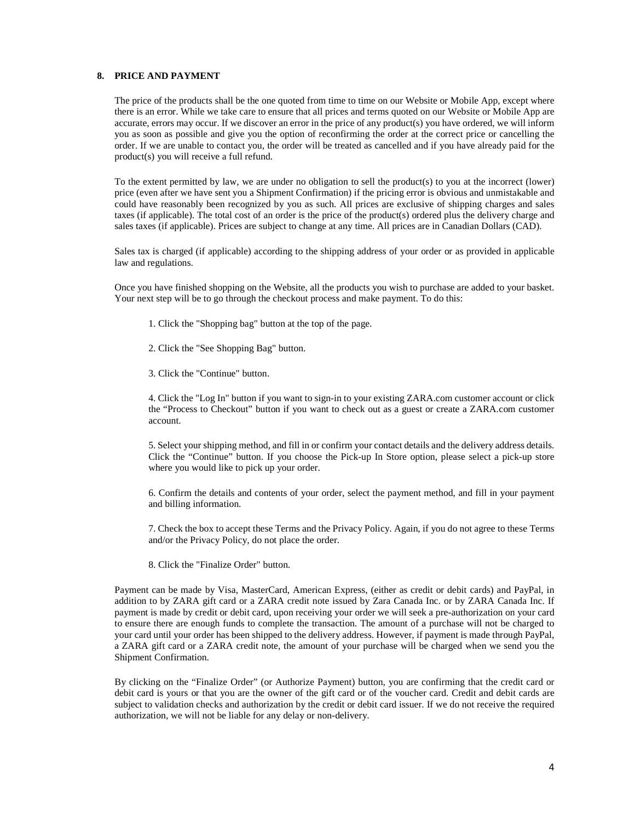## **8. PRICE AND PAYMENT**

The price of the products shall be the one quoted from time to time on our Website or Mobile App, except where there is an error. While we take care to ensure that all prices and terms quoted on our Website or Mobile App are accurate, errors may occur. If we discover an error in the price of any product(s) you have ordered, we will inform you as soon as possible and give you the option of reconfirming the order at the correct price or cancelling the order. If we are unable to contact you, the order will be treated as cancelled and if you have already paid for the product(s) you will receive a full refund.

To the extent permitted by law, we are under no obligation to sell the product(s) to you at the incorrect (lower) price (even after we have sent you a Shipment Confirmation) if the pricing error is obvious and unmistakable and could have reasonably been recognized by you as such. All prices are exclusive of shipping charges and sales taxes (if applicable). The total cost of an order is the price of the product(s) ordered plus the delivery charge and sales taxes (if applicable). Prices are subject to change at any time. All prices are in Canadian Dollars (CAD).

Sales tax is charged (if applicable) according to the shipping address of your order or as provided in applicable law and regulations.

Once you have finished shopping on the Website, all the products you wish to purchase are added to your basket. Your next step will be to go through the checkout process and make payment. To do this:

- 1. Click the "Shopping bag" button at the top of the page.
- 2. Click the "See Shopping Bag" button.
- 3. Click the "Continue" button.

4. Click the "Log In" button if you want to sign-in to your existing ZARA.com customer account or click the "Process to Checkout" button if you want to check out as a guest or create a ZARA.com customer account.

5. Select your shipping method, and fill in or confirm your contact details and the delivery address details. Click the "Continue" button. If you choose the Pick-up In Store option, please select a pick-up store where you would like to pick up your order.

6. Confirm the details and contents of your order, select the payment method, and fill in your payment and billing information.

7. Check the box to accept these Terms and the Privacy Policy. Again, if you do not agree to these Terms and/or the Privacy Policy, do not place the order.

8. Click the "Finalize Order" button.

Payment can be made by Visa, MasterCard, American Express, (either as credit or debit cards) and PayPal, in addition to by ZARA gift card or a ZARA credit note issued by Zara Canada Inc. or by ZARA Canada Inc. If payment is made by credit or debit card, upon receiving your order we will seek a pre-authorization on your card to ensure there are enough funds to complete the transaction. The amount of a purchase will not be charged to your card until your order has been shipped to the delivery address. However, if payment is made through PayPal, a ZARA gift card or a ZARA credit note, the amount of your purchase will be charged when we send you the Shipment Confirmation.

By clicking on the "Finalize Order" (or Authorize Payment) button, you are confirming that the credit card or debit card is yours or that you are the owner of the gift card or of the voucher card. Credit and debit cards are subject to validation checks and authorization by the credit or debit card issuer. If we do not receive the required authorization, we will not be liable for any delay or non-delivery.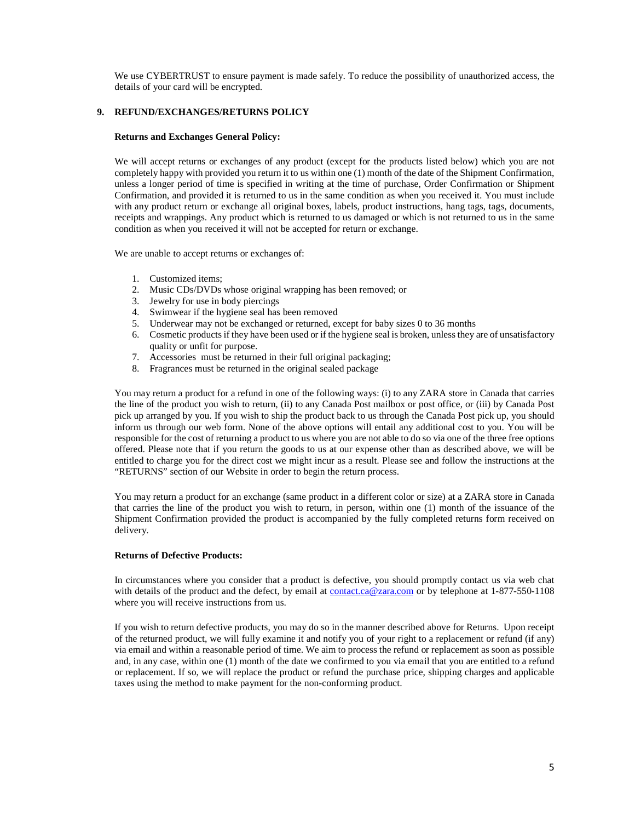We use CYBERTRUST to ensure payment is made safely. To reduce the possibility of unauthorized access, the details of your card will be encrypted.

## **9. REFUND/EXCHANGES/RETURNS POLICY**

#### **Returns and Exchanges General Policy:**

We will accept returns or exchanges of any product (except for the products listed below) which you are not completely happy with provided you return it to us within one (1) month of the date of the Shipment Confirmation, unless a longer period of time is specified in writing at the time of purchase, Order Confirmation or Shipment Confirmation, and provided it is returned to us in the same condition as when you received it. You must include with any product return or exchange all original boxes, labels, product instructions, hang tags, tags, documents, receipts and wrappings. Any product which is returned to us damaged or which is not returned to us in the same condition as when you received it will not be accepted for return or exchange.

We are unable to accept returns or exchanges of:

- 1. Customized items;
- 2. Music CDs/DVDs whose original wrapping has been removed; or
- 3. Jewelry for use in body piercings
- 4. Swimwear if the hygiene seal has been removed
- 5. Underwear may not be exchanged or returned, except for baby sizes 0 to 36 months
- 6. Cosmetic products if they have been used or if the hygiene seal is broken, unless they are of unsatisfactory quality or unfit for purpose.
- 7. Accessories must be returned in their full original packaging;
- 8. Fragrances must be returned in the original sealed package

You may return a product for a refund in one of the following ways: (i) to any ZARA store in Canada that carries the line of the product you wish to return, (ii) to any Canada Post mailbox or post office, or (iii) by Canada Post pick up arranged by you. If you wish to ship the product back to us through the Canada Post pick up, you should inform us through our web form. None of the above options will entail any additional cost to you. You will be responsible for the cost of returning a product to us where you are not able to do so via one of the three free options offered. Please note that if you return the goods to us at our expense other than as described above, we will be entitled to charge you for the direct cost we might incur as a result. Please see and follow the instructions at the "RETURNS" section of our Website in order to begin the return process.

You may return a product for an exchange (same product in a different color or size) at a ZARA store in Canada that carries the line of the product you wish to return, in person, within one (1) month of the issuance of the Shipment Confirmation provided the product is accompanied by the fully completed returns form received on delivery.

#### **Returns of Defective Products:**

In circumstances where you consider that a product is defective, you should promptly contact us via web chat with details of the product and the defect, by email at contact.ca@zara.com or by telephone at 1-877-550-1108 where you will receive instructions from us.

If you wish to return defective products, you may do so in the manner described above for Returns. Upon receipt of the returned product, we will fully examine it and notify you of your right to a replacement or refund (if any) via email and within a reasonable period of time. We aim to process the refund or replacement as soon as possible and, in any case, within one (1) month of the date we confirmed to you via email that you are entitled to a refund or replacement. If so, we will replace the product or refund the purchase price, shipping charges and applicable taxes using the method to make payment for the non-conforming product.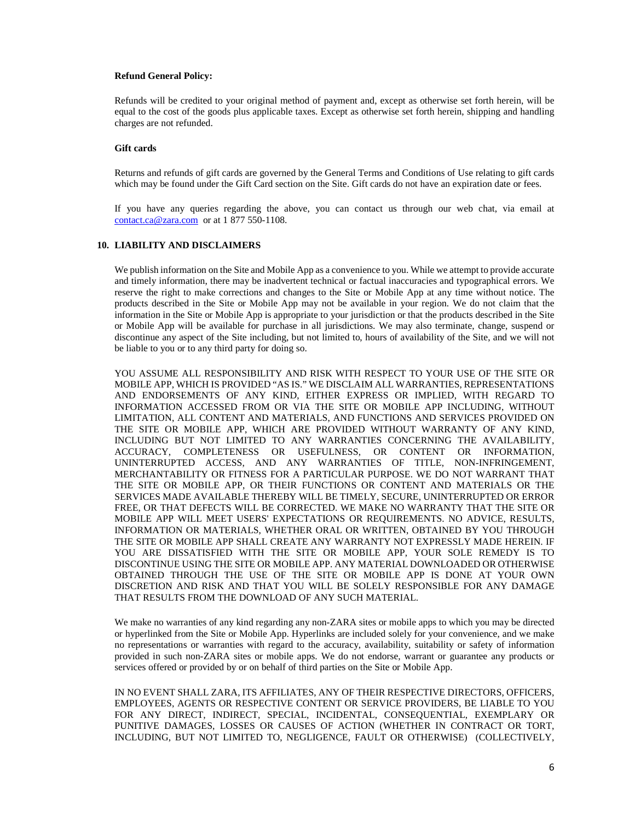#### **Refund General Policy:**

Refunds will be credited to your original method of payment and, except as otherwise set forth herein, will be equal to the cost of the goods plus applicable taxes. Except as otherwise set forth herein, shipping and handling charges are not refunded.

## **Gift cards**

Returns and refunds of gift cards are governed by the General Terms and Conditions of Use relating to gift cards which may be found under the Gift Card section on the Site. Gift cards do not have an expiration date or fees.

If you have any queries regarding the above, you can contact us through our web chat, via email at contact.ca@zara.com or at 1 877 550-1108.

# **10. LIABILITY AND DISCLAIMERS**

We publish information on the Site and Mobile App as a convenience to you. While we attempt to provide accurate and timely information, there may be inadvertent technical or factual inaccuracies and typographical errors. We reserve the right to make corrections and changes to the Site or Mobile App at any time without notice. The products described in the Site or Mobile App may not be available in your region. We do not claim that the information in the Site or Mobile App is appropriate to your jurisdiction or that the products described in the Site or Mobile App will be available for purchase in all jurisdictions. We may also terminate, change, suspend or discontinue any aspect of the Site including, but not limited to, hours of availability of the Site, and we will not be liable to you or to any third party for doing so.

YOU ASSUME ALL RESPONSIBILITY AND RISK WITH RESPECT TO YOUR USE OF THE SITE OR MOBILE APP, WHICH IS PROVIDED "AS IS." WE DISCLAIM ALL WARRANTIES, REPRESENTATIONS AND ENDORSEMENTS OF ANY KIND, EITHER EXPRESS OR IMPLIED, WITH REGARD TO INFORMATION ACCESSED FROM OR VIA THE SITE OR MOBILE APP INCLUDING, WITHOUT LIMITATION, ALL CONTENT AND MATERIALS, AND FUNCTIONS AND SERVICES PROVIDED ON THE SITE OR MOBILE APP, WHICH ARE PROVIDED WITHOUT WARRANTY OF ANY KIND, INCLUDING BUT NOT LIMITED TO ANY WARRANTIES CONCERNING THE AVAILABILITY, ACCURACY, COMPLETENESS OR USEFULNESS, OR CONTENT OR INFORMATION, UNINTERRUPTED ACCESS, AND ANY WARRANTIES OF TITLE, NON-INFRINGEMENT, MERCHANTABILITY OR FITNESS FOR A PARTICULAR PURPOSE. WE DO NOT WARRANT THAT THE SITE OR MOBILE APP, OR THEIR FUNCTIONS OR CONTENT AND MATERIALS OR THE SERVICES MADE AVAILABLE THEREBY WILL BE TIMELY, SECURE, UNINTERRUPTED OR ERROR FREE, OR THAT DEFECTS WILL BE CORRECTED. WE MAKE NO WARRANTY THAT THE SITE OR MOBILE APP WILL MEET USERS' EXPECTATIONS OR REQUIREMENTS. NO ADVICE, RESULTS, INFORMATION OR MATERIALS, WHETHER ORAL OR WRITTEN, OBTAINED BY YOU THROUGH THE SITE OR MOBILE APP SHALL CREATE ANY WARRANTY NOT EXPRESSLY MADE HEREIN. IF YOU ARE DISSATISFIED WITH THE SITE OR MOBILE APP, YOUR SOLE REMEDY IS TO DISCONTINUE USING THE SITE OR MOBILE APP. ANY MATERIAL DOWNLOADED OR OTHERWISE OBTAINED THROUGH THE USE OF THE SITE OR MOBILE APP IS DONE AT YOUR OWN DISCRETION AND RISK AND THAT YOU WILL BE SOLELY RESPONSIBLE FOR ANY DAMAGE THAT RESULTS FROM THE DOWNLOAD OF ANY SUCH MATERIAL.

We make no warranties of any kind regarding any non-ZARA sites or mobile apps to which you may be directed or hyperlinked from the Site or Mobile App. Hyperlinks are included solely for your convenience, and we make no representations or warranties with regard to the accuracy, availability, suitability or safety of information provided in such non-ZARA sites or mobile apps. We do not endorse, warrant or guarantee any products or services offered or provided by or on behalf of third parties on the Site or Mobile App.

IN NO EVENT SHALL ZARA, ITS AFFILIATES, ANY OF THEIR RESPECTIVE DIRECTORS, OFFICERS, EMPLOYEES, AGENTS OR RESPECTIVE CONTENT OR SERVICE PROVIDERS, BE LIABLE TO YOU FOR ANY DIRECT, INDIRECT, SPECIAL, INCIDENTAL, CONSEQUENTIAL, EXEMPLARY OR PUNITIVE DAMAGES, LOSSES OR CAUSES OF ACTION (WHETHER IN CONTRACT OR TORT, INCLUDING, BUT NOT LIMITED TO, NEGLIGENCE, FAULT OR OTHERWISE) (COLLECTIVELY,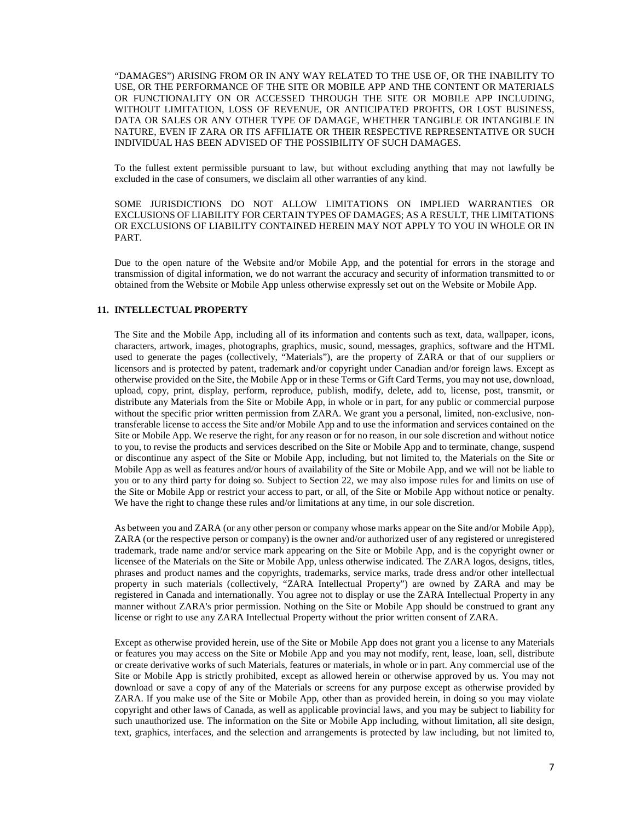"DAMAGES") ARISING FROM OR IN ANY WAY RELATED TO THE USE OF, OR THE INABILITY TO USE, OR THE PERFORMANCE OF THE SITE OR MOBILE APP AND THE CONTENT OR MATERIALS OR FUNCTIONALITY ON OR ACCESSED THROUGH THE SITE OR MOBILE APP INCLUDING, WITHOUT LIMITATION, LOSS OF REVENUE, OR ANTICIPATED PROFITS, OR LOST BUSINESS, DATA OR SALES OR ANY OTHER TYPE OF DAMAGE, WHETHER TANGIBLE OR INTANGIBLE IN NATURE, EVEN IF ZARA OR ITS AFFILIATE OR THEIR RESPECTIVE REPRESENTATIVE OR SUCH INDIVIDUAL HAS BEEN ADVISED OF THE POSSIBILITY OF SUCH DAMAGES.

To the fullest extent permissible pursuant to law, but without excluding anything that may not lawfully be excluded in the case of consumers, we disclaim all other warranties of any kind.

SOME JURISDICTIONS DO NOT ALLOW LIMITATIONS ON IMPLIED WARRANTIES OR EXCLUSIONS OF LIABILITY FOR CERTAIN TYPES OF DAMAGES; AS A RESULT, THE LIMITATIONS OR EXCLUSIONS OF LIABILITY CONTAINED HEREIN MAY NOT APPLY TO YOU IN WHOLE OR IN PART.

Due to the open nature of the Website and/or Mobile App, and the potential for errors in the storage and transmission of digital information, we do not warrant the accuracy and security of information transmitted to or obtained from the Website or Mobile App unless otherwise expressly set out on the Website or Mobile App.

## **11. INTELLECTUAL PROPERTY**

The Site and the Mobile App, including all of its information and contents such as text, data, wallpaper, icons, characters, artwork, images, photographs, graphics, music, sound, messages, graphics, software and the HTML used to generate the pages (collectively, "Materials"), are the property of ZARA or that of our suppliers or licensors and is protected by patent, trademark and/or copyright under Canadian and/or foreign laws. Except as otherwise provided on the Site, the Mobile App or in these Terms or Gift Card Terms, you may not use, download, upload, copy, print, display, perform, reproduce, publish, modify, delete, add to, license, post, transmit, or distribute any Materials from the Site or Mobile App, in whole or in part, for any public or commercial purpose without the specific prior written permission from ZARA. We grant you a personal, limited, non-exclusive, nontransferable license to access the Site and/or Mobile App and to use the information and services contained on the Site or Mobile App. We reserve the right, for any reason or for no reason, in our sole discretion and without notice to you, to revise the products and services described on the Site or Mobile App and to terminate, change, suspend or discontinue any aspect of the Site or Mobile App, including, but not limited to, the Materials on the Site or Mobile App as well as features and/or hours of availability of the Site or Mobile App, and we will not be liable to you or to any third party for doing so. Subject to Section 22, we may also impose rules for and limits on use of the Site or Mobile App or restrict your access to part, or all, of the Site or Mobile App without notice or penalty. We have the right to change these rules and/or limitations at any time, in our sole discretion.

As between you and ZARA (or any other person or company whose marks appear on the Site and/or Mobile App), ZARA (or the respective person or company) is the owner and/or authorized user of any registered or unregistered trademark, trade name and/or service mark appearing on the Site or Mobile App, and is the copyright owner or licensee of the Materials on the Site or Mobile App, unless otherwise indicated. The ZARA logos, designs, titles, phrases and product names and the copyrights, trademarks, service marks, trade dress and/or other intellectual property in such materials (collectively, "ZARA Intellectual Property") are owned by ZARA and may be registered in Canada and internationally. You agree not to display or use the ZARA Intellectual Property in any manner without ZARA's prior permission. Nothing on the Site or Mobile App should be construed to grant any license or right to use any ZARA Intellectual Property without the prior written consent of ZARA.

Except as otherwise provided herein, use of the Site or Mobile App does not grant you a license to any Materials or features you may access on the Site or Mobile App and you may not modify, rent, lease, loan, sell, distribute or create derivative works of such Materials, features or materials, in whole or in part. Any commercial use of the Site or Mobile App is strictly prohibited, except as allowed herein or otherwise approved by us. You may not download or save a copy of any of the Materials or screens for any purpose except as otherwise provided by ZARA. If you make use of the Site or Mobile App, other than as provided herein, in doing so you may violate copyright and other laws of Canada, as well as applicable provincial laws, and you may be subject to liability for such unauthorized use. The information on the Site or Mobile App including, without limitation, all site design, text, graphics, interfaces, and the selection and arrangements is protected by law including, but not limited to,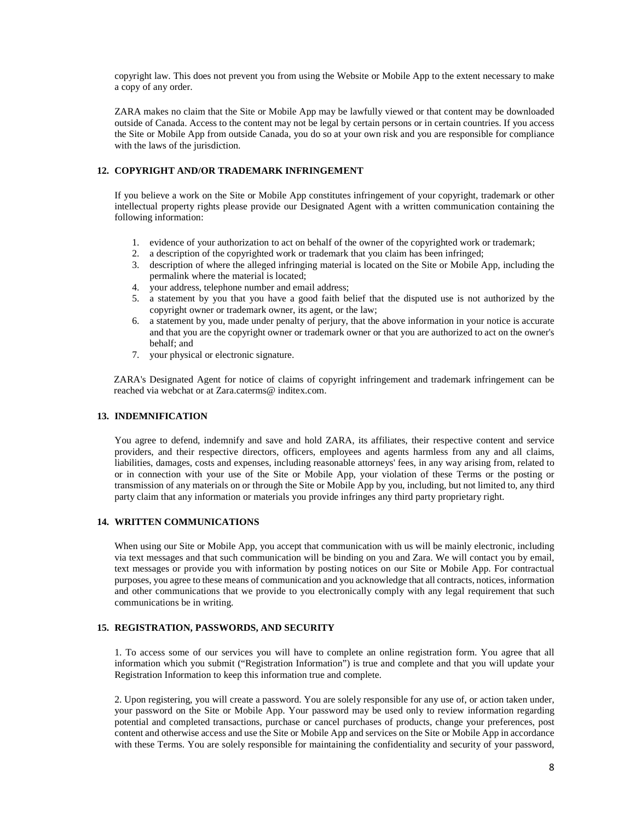copyright law. This does not prevent you from using the Website or Mobile App to the extent necessary to make a copy of any order.

ZARA makes no claim that the Site or Mobile App may be lawfully viewed or that content may be downloaded outside of Canada. Access to the content may not be legal by certain persons or in certain countries. If you access the Site or Mobile App from outside Canada, you do so at your own risk and you are responsible for compliance with the laws of the jurisdiction.

## **12. COPYRIGHT AND/OR TRADEMARK INFRINGEMENT**

If you believe a work on the Site or Mobile App constitutes infringement of your copyright, trademark or other intellectual property rights please provide our Designated Agent with a written communication containing the following information:

- 1. evidence of your authorization to act on behalf of the owner of the copyrighted work or trademark;
- 2. a description of the copyrighted work or trademark that you claim has been infringed;
- 3. description of where the alleged infringing material is located on the Site or Mobile App, including the permalink where the material is located;
- 4. your address, telephone number and email address;
- 5. a statement by you that you have a good faith belief that the disputed use is not authorized by the copyright owner or trademark owner, its agent, or the law;
- 6. a statement by you, made under penalty of perjury, that the above information in your notice is accurate and that you are the copyright owner or trademark owner or that you are authorized to act on the owner's behalf; and
- 7. your physical or electronic signature.

ZARA's Designated Agent for notice of claims of copyright infringement and trademark infringement can be reached via webchat or at Zara.caterms@ inditex.com.

## **13. INDEMNIFICATION**

You agree to defend, indemnify and save and hold ZARA, its affiliates, their respective content and service providers, and their respective directors, officers, employees and agents harmless from any and all claims, liabilities, damages, costs and expenses, including reasonable attorneys' fees, in any way arising from, related to or in connection with your use of the Site or Mobile App, your violation of these Terms or the posting or transmission of any materials on or through the Site or Mobile App by you, including, but not limited to, any third party claim that any information or materials you provide infringes any third party proprietary right.

## **14. WRITTEN COMMUNICATIONS**

When using our Site or Mobile App, you accept that communication with us will be mainly electronic, including via text messages and that such communication will be binding on you and Zara. We will contact you by email, text messages or provide you with information by posting notices on our Site or Mobile App. For contractual purposes, you agree to these means of communication and you acknowledge that all contracts, notices, information and other communications that we provide to you electronically comply with any legal requirement that such communications be in writing.

## **15. REGISTRATION, PASSWORDS, AND SECURITY**

1. To access some of our services you will have to complete an online registration form. You agree that all information which you submit ("Registration Information") is true and complete and that you will update your Registration Information to keep this information true and complete.

2. Upon registering, you will create a password. You are solely responsible for any use of, or action taken under, your password on the Site or Mobile App. Your password may be used only to review information regarding potential and completed transactions, purchase or cancel purchases of products, change your preferences, post content and otherwise access and use the Site or Mobile App and services on the Site or Mobile App in accordance with these Terms. You are solely responsible for maintaining the confidentiality and security of your password,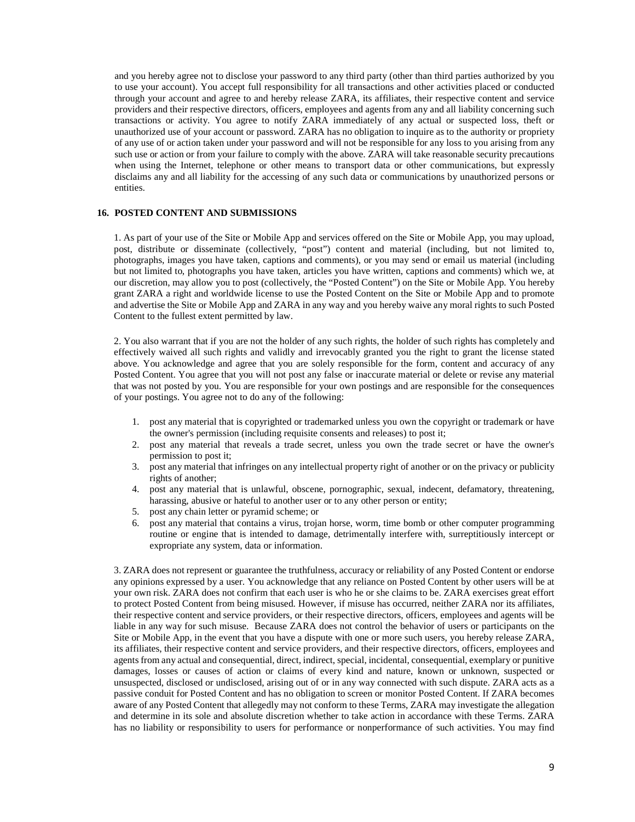and you hereby agree not to disclose your password to any third party (other than third parties authorized by you to use your account). You accept full responsibility for all transactions and other activities placed or conducted through your account and agree to and hereby release ZARA, its affiliates, their respective content and service providers and their respective directors, officers, employees and agents from any and all liability concerning such transactions or activity. You agree to notify ZARA immediately of any actual or suspected loss, theft or unauthorized use of your account or password. ZARA has no obligation to inquire as to the authority or propriety of any use of or action taken under your password and will not be responsible for any loss to you arising from any such use or action or from your failure to comply with the above. ZARA will take reasonable security precautions when using the Internet, telephone or other means to transport data or other communications, but expressly disclaims any and all liability for the accessing of any such data or communications by unauthorized persons or entities.

## **16. POSTED CONTENT AND SUBMISSIONS**

1. As part of your use of the Site or Mobile App and services offered on the Site or Mobile App, you may upload, post, distribute or disseminate (collectively, "post") content and material (including, but not limited to, photographs, images you have taken, captions and comments), or you may send or email us material (including but not limited to, photographs you have taken, articles you have written, captions and comments) which we, at our discretion, may allow you to post (collectively, the "Posted Content") on the Site or Mobile App. You hereby grant ZARA a right and worldwide license to use the Posted Content on the Site or Mobile App and to promote and advertise the Site or Mobile App and ZARA in any way and you hereby waive any moral rights to such Posted Content to the fullest extent permitted by law.

2. You also warrant that if you are not the holder of any such rights, the holder of such rights has completely and effectively waived all such rights and validly and irrevocably granted you the right to grant the license stated above. You acknowledge and agree that you are solely responsible for the form, content and accuracy of any Posted Content. You agree that you will not post any false or inaccurate material or delete or revise any material that was not posted by you. You are responsible for your own postings and are responsible for the consequences of your postings. You agree not to do any of the following:

- 1. post any material that is copyrighted or trademarked unless you own the copyright or trademark or have the owner's permission (including requisite consents and releases) to post it;
- 2. post any material that reveals a trade secret, unless you own the trade secret or have the owner's permission to post it;
- 3. post any material that infringes on any intellectual property right of another or on the privacy or publicity rights of another;
- 4. post any material that is unlawful, obscene, pornographic, sexual, indecent, defamatory, threatening, harassing, abusive or hateful to another user or to any other person or entity;
- 5. post any chain letter or pyramid scheme; or
- post any material that contains a virus, trojan horse, worm, time bomb or other computer programming routine or engine that is intended to damage, detrimentally interfere with, surreptitiously intercept or expropriate any system, data or information.

3. ZARA does not represent or guarantee the truthfulness, accuracy or reliability of any Posted Content or endorse any opinions expressed by a user. You acknowledge that any reliance on Posted Content by other users will be at your own risk. ZARA does not confirm that each user is who he or she claims to be. ZARA exercises great effort to protect Posted Content from being misused. However, if misuse has occurred, neither ZARA nor its affiliates, their respective content and service providers, or their respective directors, officers, employees and agents will be liable in any way for such misuse. Because ZARA does not control the behavior of users or participants on the Site or Mobile App, in the event that you have a dispute with one or more such users, you hereby release ZARA, its affiliates, their respective content and service providers, and their respective directors, officers, employees and agents from any actual and consequential, direct, indirect, special, incidental, consequential, exemplary or punitive damages, losses or causes of action or claims of every kind and nature, known or unknown, suspected or unsuspected, disclosed or undisclosed, arising out of or in any way connected with such dispute. ZARA acts as a passive conduit for Posted Content and has no obligation to screen or monitor Posted Content. If ZARA becomes aware of any Posted Content that allegedly may not conform to these Terms, ZARA may investigate the allegation and determine in its sole and absolute discretion whether to take action in accordance with these Terms. ZARA has no liability or responsibility to users for performance or nonperformance of such activities. You may find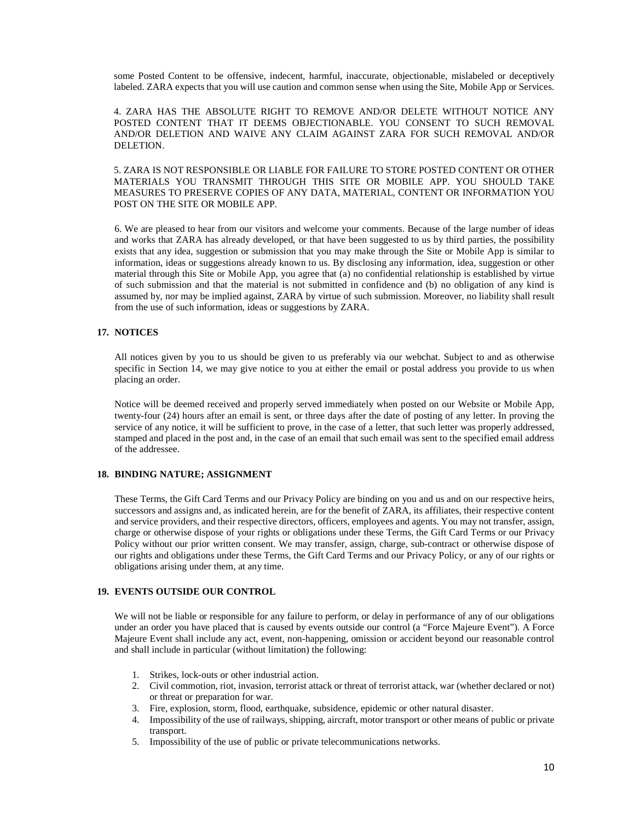some Posted Content to be offensive, indecent, harmful, inaccurate, objectionable, mislabeled or deceptively labeled. ZARA expects that you will use caution and common sense when using the Site, Mobile App or Services.

4. ZARA HAS THE ABSOLUTE RIGHT TO REMOVE AND/OR DELETE WITHOUT NOTICE ANY POSTED CONTENT THAT IT DEEMS OBJECTIONABLE. YOU CONSENT TO SUCH REMOVAL AND/OR DELETION AND WAIVE ANY CLAIM AGAINST ZARA FOR SUCH REMOVAL AND/OR DELETION.

5. ZARA IS NOT RESPONSIBLE OR LIABLE FOR FAILURE TO STORE POSTED CONTENT OR OTHER MATERIALS YOU TRANSMIT THROUGH THIS SITE OR MOBILE APP. YOU SHOULD TAKE MEASURES TO PRESERVE COPIES OF ANY DATA, MATERIAL, CONTENT OR INFORMATION YOU POST ON THE SITE OR MOBILE APP.

6. We are pleased to hear from our visitors and welcome your comments. Because of the large number of ideas and works that ZARA has already developed, or that have been suggested to us by third parties, the possibility exists that any idea, suggestion or submission that you may make through the Site or Mobile App is similar to information, ideas or suggestions already known to us. By disclosing any information, idea, suggestion or other material through this Site or Mobile App, you agree that (a) no confidential relationship is established by virtue of such submission and that the material is not submitted in confidence and (b) no obligation of any kind is assumed by, nor may be implied against, ZARA by virtue of such submission. Moreover, no liability shall result from the use of such information, ideas or suggestions by ZARA.

### **17. NOTICES**

All notices given by you to us should be given to us preferably via our webchat. Subject to and as otherwise specific in Section 14, we may give notice to you at either the email or postal address you provide to us when placing an order.

Notice will be deemed received and properly served immediately when posted on our Website or Mobile App, twenty-four (24) hours after an email is sent, or three days after the date of posting of any letter. In proving the service of any notice, it will be sufficient to prove, in the case of a letter, that such letter was properly addressed, stamped and placed in the post and, in the case of an email that such email was sent to the specified email address of the addressee.

## **18. BINDING NATURE; ASSIGNMENT**

These Terms, the Gift Card Terms and our Privacy Policy are binding on you and us and on our respective heirs, successors and assigns and, as indicated herein, are for the benefit of ZARA, its affiliates, their respective content and service providers, and their respective directors, officers, employees and agents. You may not transfer, assign, charge or otherwise dispose of your rights or obligations under these Terms, the Gift Card Terms or our Privacy Policy without our prior written consent. We may transfer, assign, charge, sub-contract or otherwise dispose of our rights and obligations under these Terms, the Gift Card Terms and our Privacy Policy, or any of our rights or obligations arising under them, at any time.

#### **19. EVENTS OUTSIDE OUR CONTROL**

We will not be liable or responsible for any failure to perform, or delay in performance of any of our obligations under an order you have placed that is caused by events outside our control (a "Force Majeure Event"). A Force Majeure Event shall include any act, event, non-happening, omission or accident beyond our reasonable control and shall include in particular (without limitation) the following:

- 1. Strikes, lock-outs or other industrial action.
- 2. Civil commotion, riot, invasion, terrorist attack or threat of terrorist attack, war (whether declared or not) or threat or preparation for war.
- 3. Fire, explosion, storm, flood, earthquake, subsidence, epidemic or other natural disaster.
- 4. Impossibility of the use of railways, shipping, aircraft, motor transport or other means of public or private transport.
- 5. Impossibility of the use of public or private telecommunications networks.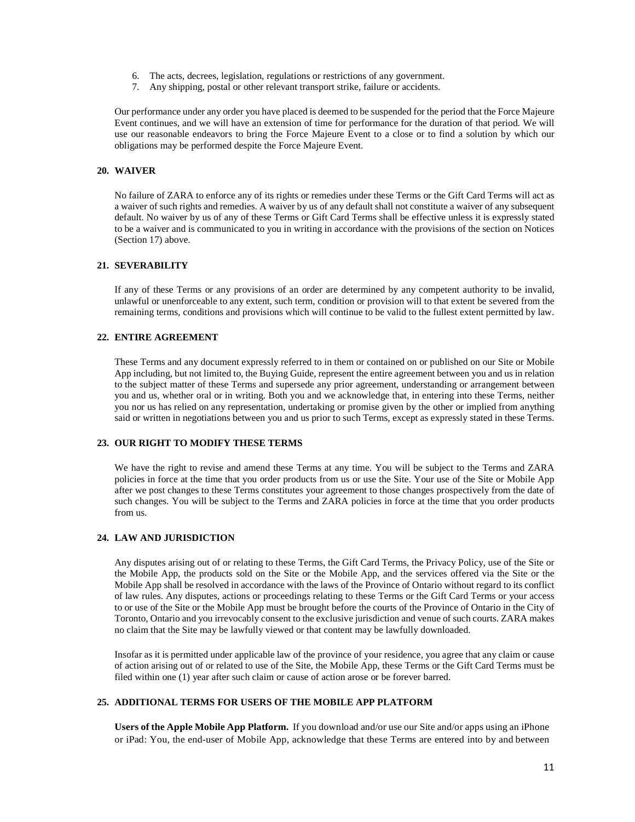- 6. The acts, decrees, legislation, regulations or restrictions of any government.
- 7. Any shipping, postal or other relevant transport strike, failure or accidents.

Our performance under any order you have placed is deemed to be suspended for the period that the Force Majeure Event continues, and we will have an extension of time for performance for the duration of that period. We will use our reasonable endeavors to bring the Force Majeure Event to a close or to find a solution by which our obligations may be performed despite the Force Majeure Event.

## **20. WAIVER**

No failure of ZARA to enforce any of its rights or remedies under these Terms or the Gift Card Terms will act as a waiver of such rights and remedies. A waiver by us of any default shall not constitute a waiver of any subsequent default. No waiver by us of any of these Terms or Gift Card Terms shall be effective unless it is expressly stated to be a waiver and is communicated to you in writing in accordance with the provisions of the section on Notices (Section 17) above.

### **21. SEVERABILITY**

If any of these Terms or any provisions of an order are determined by any competent authority to be invalid, unlawful or unenforceable to any extent, such term, condition or provision will to that extent be severed from the remaining terms, conditions and provisions which will continue to be valid to the fullest extent permitted by law.

## **22. ENTIRE AGREEMENT**

These Terms and any document expressly referred to in them or contained on or published on our Site or Mobile App including, but not limited to, the Buying Guide, represent the entire agreement between you and us in relation to the subject matter of these Terms and supersede any prior agreement, understanding or arrangement between you and us, whether oral or in writing. Both you and we acknowledge that, in entering into these Terms, neither you nor us has relied on any representation, undertaking or promise given by the other or implied from anything said or written in negotiations between you and us prior to such Terms, except as expressly stated in these Terms.

### **23. OUR RIGHT TO MODIFY THESE TERMS**

We have the right to revise and amend these Terms at any time. You will be subject to the Terms and ZARA policies in force at the time that you order products from us or use the Site. Your use of the Site or Mobile App after we post changes to these Terms constitutes your agreement to those changes prospectively from the date of such changes. You will be subject to the Terms and ZARA policies in force at the time that you order products from us.

## **24. LAW AND JURISDICTION**

Any disputes arising out of or relating to these Terms, the Gift Card Terms, the Privacy Policy, use of the Site or the Mobile App, the products sold on the Site or the Mobile App, and the services offered via the Site or the Mobile App shall be resolved in accordance with the laws of the Province of Ontario without regard to its conflict of law rules. Any disputes, actions or proceedings relating to these Terms or the Gift Card Terms or your access to or use of the Site or the Mobile App must be brought before the courts of the Province of Ontario in the City of Toronto, Ontario and you irrevocably consent to the exclusive jurisdiction and venue of such courts. ZARA makes no claim that the Site may be lawfully viewed or that content may be lawfully downloaded.

Insofar as it is permitted under applicable law of the province of your residence, you agree that any claim or cause of action arising out of or related to use of the Site, the Mobile App, these Terms or the Gift Card Terms must be filed within one (1) year after such claim or cause of action arose or be forever barred.

# **25. ADDITIONAL TERMS FOR USERS OF THE MOBILE APP PLATFORM**

**Users of the Apple Mobile App Platform.** If you download and/or use our Site and/or apps using an iPhone or iPad: You, the end-user of Mobile App, acknowledge that these Terms are entered into by and between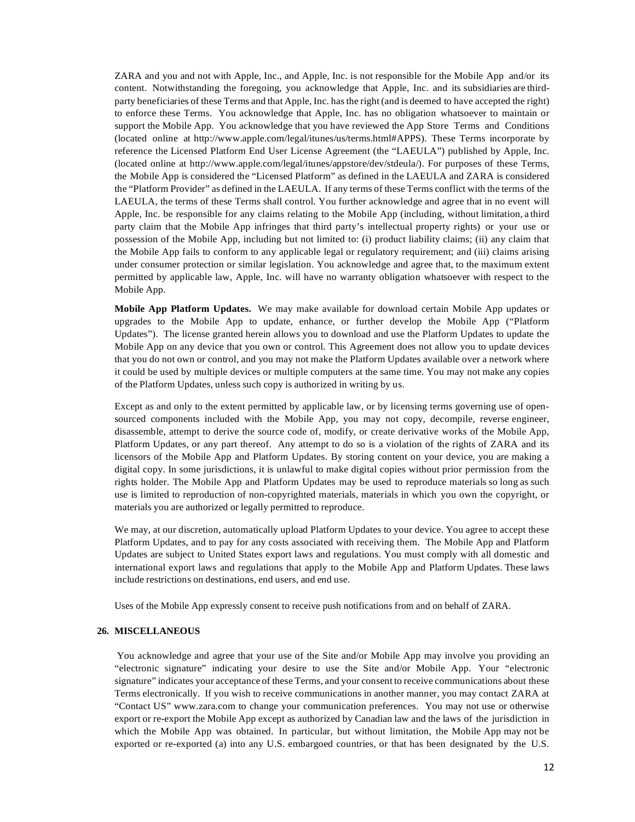ZARA and you and not with Apple, Inc., and Apple, Inc. is not responsible for the Mobile App and/or its content. Notwithstanding the foregoing, you acknowledge that Apple, Inc. and its subsidiaries are thirdparty beneficiaries of these Terms and that Apple, Inc. has the right (and is deemed to have accepted the right) to enforce these Terms. You acknowledge that Apple, Inc. has no obligation whatsoever to maintain or support the Mobile App. You acknowledge that you have reviewed the App Store Terms and Conditions (located online at http://www.apple.com/legal/itunes/us/terms.html#APPS). These Terms incorporate by reference the Licensed Platform End User License Agreement (the "LAEULA") published by Apple, Inc. (located online at http://www.apple.com/legal/itunes/appstore/dev/stdeula/). For purposes of these Terms, the Mobile App is considered the "Licensed Platform" as defined in the LAEULA and ZARA is considered the "Platform Provider" as defined in the LAEULA. If any terms of these Terms conflict with the terms of the LAEULA, the terms of these Terms shall control. You further acknowledge and agree that in no event will Apple, Inc. be responsible for any claims relating to the Mobile App (including, without limitation, a third party claim that the Mobile App infringes that third party's intellectual property rights) or your use or possession of the Mobile App, including but not limited to: (i) product liability claims; (ii) any claim that the Mobile App fails to conform to any applicable legal or regulatory requirement; and (iii) claims arising under consumer protection or similar legislation. You acknowledge and agree that, to the maximum extent permitted by applicable law, Apple, Inc. will have no warranty obligation whatsoever with respect to the Mobile App.

**Mobile App Platform Updates.** We may make available for download certain Mobile App updates or upgrades to the Mobile App to update, enhance, or further develop the Mobile App ("Platform Updates"). The license granted herein allows you to download and use the Platform Updates to update the Mobile App on any device that you own or control. This Agreement does not allow you to update devices that you do not own or control, and you may not make the Platform Updates available over a network where it could be used by multiple devices or multiple computers at the same time. You may not make any copies of the Platform Updates, unless such copy is authorized in writing by us.

Except as and only to the extent permitted by applicable law, or by licensing terms governing use of opensourced components included with the Mobile App, you may not copy, decompile, reverse engineer, disassemble, attempt to derive the source code of, modify, or create derivative works of the Mobile App, Platform Updates, or any part thereof. Any attempt to do so is a violation of the rights of ZARA and its licensors of the Mobile App and Platform Updates. By storing content on your device, you are making a digital copy. In some jurisdictions, it is unlawful to make digital copies without prior permission from the rights holder. The Mobile App and Platform Updates may be used to reproduce materials so long as such use is limited to reproduction of non-copyrighted materials, materials in which you own the copyright, or materials you are authorized or legally permitted to reproduce.

We may, at our discretion, automatically upload Platform Updates to your device. You agree to accept these Platform Updates, and to pay for any costs associated with receiving them. The Mobile App and Platform Updates are subject to United States export laws and regulations. You must comply with all domestic and international export laws and regulations that apply to the Mobile App and Platform Updates. These laws include restrictions on destinations, end users, and end use.

Uses of the Mobile App expressly consent to receive push notifications from and on behalf of ZARA.

#### **26. MISCELLANEOUS**

You acknowledge and agree that your use of the Site and/or Mobile App may involve you providing an "electronic signature" indicating your desire to use the Site and/or Mobile App. Your "electronic signature" indicates your acceptance of these Terms, and your consent to receive communications about these Terms electronically. If you wish to receive communications in another manner, you may contact ZARA at "Contact US" www.zara.com to change your communication preferences. You may not use or otherwise export or re-export the Mobile App except as authorized by Canadian law and the laws of the jurisdiction in which the Mobile App was obtained. In particular, but without limitation, the Mobile App may not be exported or re-exported (a) into any U.S. embargoed countries, or that has been designated by the U.S.